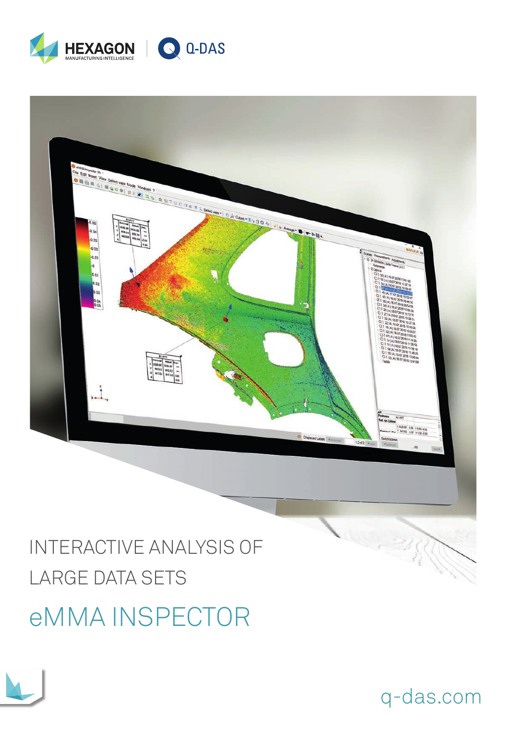



# INTERACTIVE ANALYSIS OF **LARGE DATA SETS**

## **eMMAINSPECTOR**



q-das.com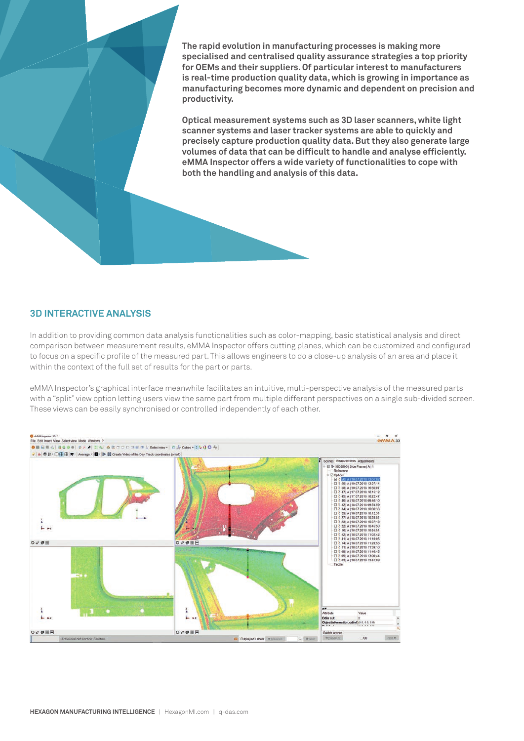**The rapid evolution in manufacturing processes is making more specialised and centralised quality assurance strategies a top priority for OEMs and their suppliers. Of particular interest to manufacturers is real-time production quality data, which is growing in importance as manufacturing becomes more dynamic and dependent on precision and productivity.** 

**Optical measurement systems such as 3D laser scanners, white light scanner systems and laser tracker systems are able to quickly and precisely capture production quality data. But they also generate large volumes of data that can be difficult to handle and analyse efficiently. eMMA Inspector offers a wide variety of functionalities to cope with both the handling and analysis of this data.**

#### **3D INTERACTIVE ANALYSIS**

In addition to providing common data analysis functionalities such as color-mapping, basic statistical analysis and direct comparison between measurement results, eMMA Inspector offers cutting planes, which can be customized and configured to focus on a specific profile of the measured part. This allows engineers to do a close-up analysis of an area and place it within the context of the full set of results for the part or parts.

eMMA Inspector's graphical interface meanwhile facilitates an intuitive, multi-perspective analysis of the measured parts with a "split" view option letting users view the same part from multiple different perspectives on a single sub-divided screen. These views can be easily synchronised or controlled independently of each other.

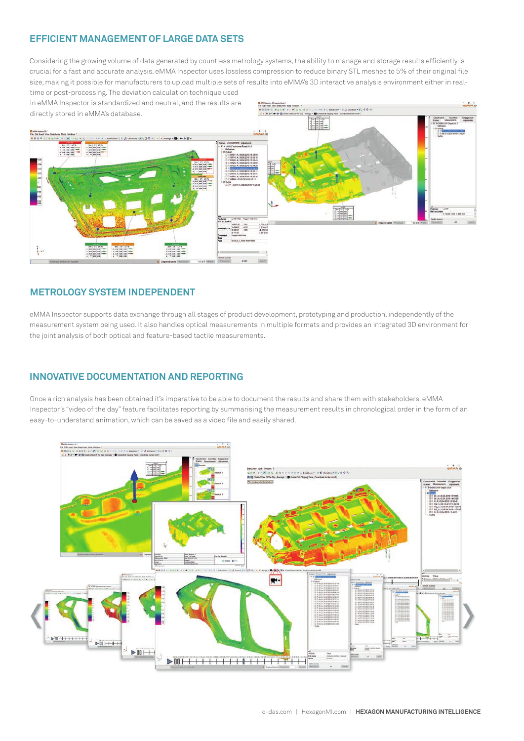### **EFFICIENT MANAGEMENT OF LARGE DATA SETS**

Considering the growing volume of data generated by countless metrology systems, the ability to manage and storage results efficiently is crucial for a fast and accurate analysis. eMMA Inspector uses lossless compression to reduce binary STL meshes to 5% of their original file size, making it possible for manufacturers to upload multiple sets of results into eMMA's 3D interactive analysis environment either in real-

time or post-processing. The deviation calculation technique used in eMMA Inspector is standardized and neutral, and the results are directly stored in eMMA's database.



#### **METROLOGY SYSTEM INDEPENDENT**

eMMA Inspector supports data exchange through all stages of product development, prototyping and production, independently of the measurement system being used. It also handles optical measurements in multiple formats and provides an integrated 3D environment for the joint analysis of both optical and feature-based tactile measurements.

### **INNOVATIVE DOCUMENTATION AND REPORTING**

Once a rich analysis has been obtained it's imperative to be able to document the results and share them with stakeholders. eMMA Inspector's "video of the day" feature facilitates reporting by summarising the measurement results in chronological order in the form of an easy-to-understand animation, which can be saved as a video file and easily shared.